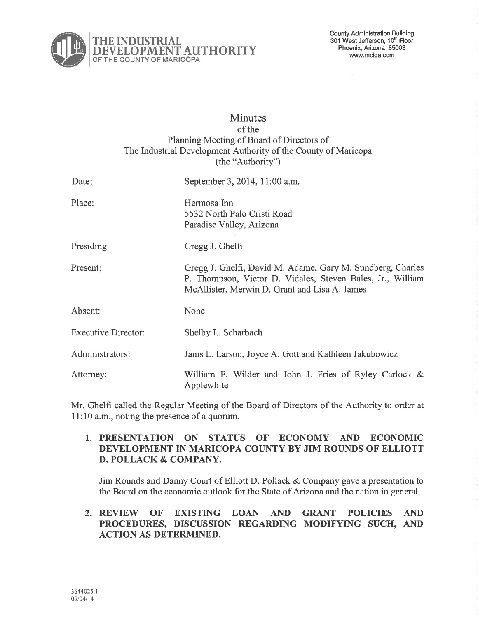

# **Minutes** of the Planning Meeting of Board of Directors of The Industrial Development Authority of the County of Maricopa (the "Authority")

| Date:                      | September 3, 2014, 11:00 a.m.                                                                                                                                             |
|----------------------------|---------------------------------------------------------------------------------------------------------------------------------------------------------------------------|
| Place:                     | Hermosa Inn<br>5532 North Palo Cristi Road<br>Paradise Valley, Arizona                                                                                                    |
| Presiding:                 | Gregg J. Ghelfi                                                                                                                                                           |
| Present:                   | Gregg J. Ghelfi, David M. Adame, Gary M. Sundberg, Charles<br>P. Thompson, Victor D. Vidales, Steven Bales, Jr., William<br>McAllister, Merwin D. Grant and Lisa A. James |
| Absent:                    | None                                                                                                                                                                      |
| <b>Executive Director:</b> | Shelby L. Scharbach                                                                                                                                                       |
| Administrators:            | Janis L. Larson, Joyce A. Gott and Kathleen Jakubowicz                                                                                                                    |
| Attorney:                  | William F. Wilder and John J. Fries of Ryley Carlock &<br>Applewhite                                                                                                      |

Mr. Ghelfi called the Regular Meeting of the Board of Directors of the Authority to order at 11:10 a.m., noting the presence of a quorum.

### 1. PRESENTATION ON STATUS OF ECONOMY AND ECONOMIC DEVELOPMENT IN MARICOPA COUNTY BY JIM ROUNDS OF ELLIOTT D. POLLACK & COMPANY.

Jim Rounds and Danny Court of Elliott D. Pollack & Company gave a presentation to the Board on the economic outlook for the State of Arizonaand the nation in general.

# 2. REVIEW OF EXISTING LOAN AND GRANT POLICIES AND PROCEDURES, DISCUSSION REGARDING MODIFYING SUCH, AND ACTION AS DETERMINED.